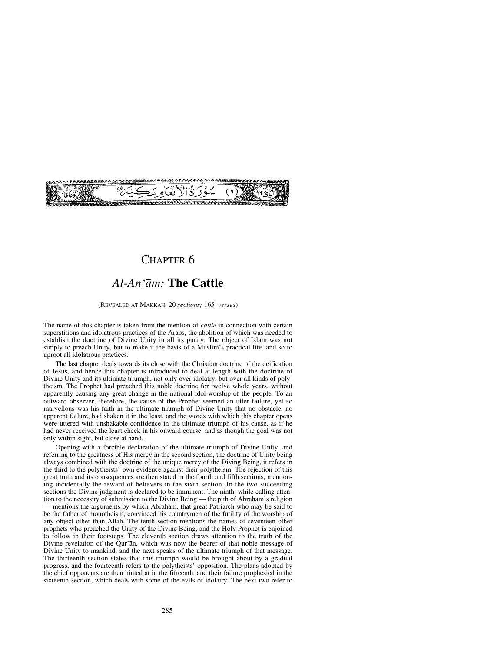

# CHAPTER 6

# *Al-An'åm:* **The Cattle**

#### (REVEALED AT MAKKAH: 20 *sections;* 165 *verses*)

The name of this chapter is taken from the mention of *cattle* in connection with certain superstitions and idolatrous practices of the Arabs, the abolition of which was needed to establish the doctrine of Divine Unity in all its purity. The object of Islåm was not simply to preach Unity, but to make it the basis of a Muslim's practical life, and so to uproot all idolatrous practices.

The last chapter deals towards its close with the Christian doctrine of the deification of Jesus, and hence this chapter is introduced to deal at length with the doctrine of Divine Unity and its ultimate triumph, not only over idolatry, but over all kinds of polytheism. The Prophet had preached this noble doctrine for twelve whole years, without apparently causing any great change in the national idol-worship of the people. To an outward observer, therefore, the cause of the Prophet seemed an utter failure, yet so marvellous was his faith in the ultimate triumph of Divine Unity that no obstacle, no apparent failure, had shaken it in the least, and the words with which this chapter opens were uttered with unshakable confidence in the ultimate triumph of his cause, as if he had never received the least check in his onward course, and as though the goal was not only within sight, but close at hand.

Opening with a forcible declaration of the ultimate triumph of Divine Unity, and referring to the greatness of His mercy in the second section, the doctrine of Unity being always combined with the doctrine of the unique mercy of the Diving Being, it refers in the third to the polytheists' own evidence against their polytheism. The rejection of this great truth and its consequences are then stated in the fourth and fifth sections, mentioning incidentally the reward of believers in the sixth section. In the two succeeding sections the Divine judgment is declared to be imminent. The ninth, while calling attention to the necessity of submission to the Divine Being — the pith of Abraham's religion — mentions the arguments by which Abraham, that great Patriarch who may be said to be the father of monotheism, convinced his countrymen of the futility of the worship of any object other than Allåh. The tenth section mentions the names of seventeen other prophets who preached the Unity of the Divine Being, and the Holy Prophet is enjoined to follow in their footsteps. The eleventh section draws attention to the truth of the Divine revelation of the Qur'ån, which was now the bearer of that noble message of Divine Unity to mankind, and the next speaks of the ultimate triumph of that message. The thirteenth section states that this triumph would be brought about by a gradual progress, and the fourteenth refers to the polytheists' opposition. The plans adopted by the chief opponents are then hinted at in the fifteenth, and their failure prophesied in the sixteenth section, which deals with some of the evils of idolatry. The next two refer to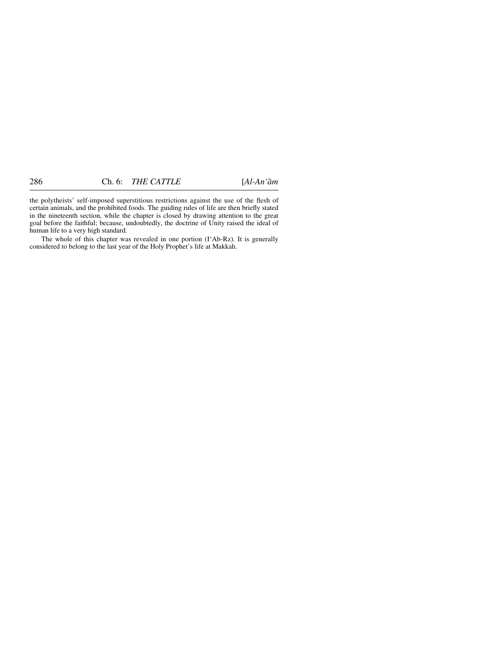the polytheists' self-imposed superstitious restrictions against the use of the flesh of certain animals, and the prohibited foods. The guiding rules of life are then briefly stated in the nineteenth section, while the chapter is closed by drawing attention to the great goal before the faithful; because, undoubtedly, the doctrine of Unity raised the ideal of human life to a very high standard.

The whole of this chapter was revealed in one portion (I'Ab-Rz). It is generally considered to belong to the last year of the Holy Prophet's life at Makkah.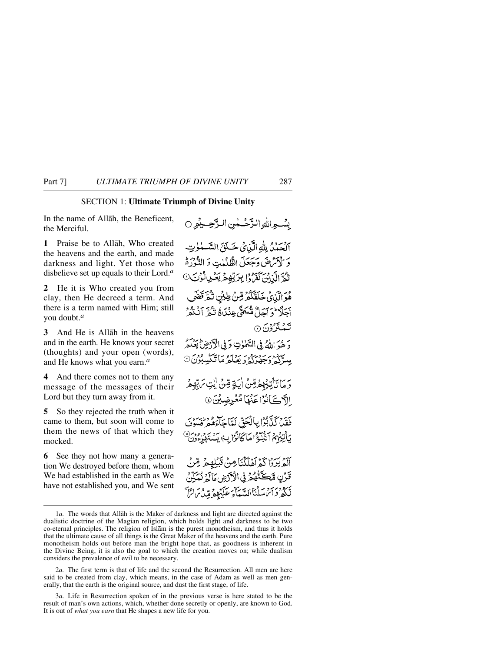#### SECTION 1: **Ultimate Triumph of Divine Unity**

In the name of Allåh, the Beneficent, the Merciful.

**1** Praise be to Allåh, Who created the heavens and the earth, and made darkness and light. Yet those who disbelieve set up equals to their Lord.*<sup>a</sup>*

**2** He it is Who created you from clay, then He decreed a term. And there is a term named with Him; still you doubt.*<sup>a</sup>*

**3** And He is Allåh in the heavens and in the earth. He knows your secret (thoughts) and your open (words), and He knows what you earn.*<sup>a</sup>*

**4** And there comes not to them any message of the messages of their Lord but they turn away from it.

**5** So they rejected the truth when it came to them, but soon will come to them the news of that which they mocked.

**6** See they not how many a generation We destroyed before them, whom We had established in the earth as We have not established you, and We sent

بِسُّعِهِ اللهِ التَّحْسُلُنِ البَ<del>َحِسِ</del>يْمِوِ () آلْحَمْنُ لِلَّهِ الَّذِيْ خَلَقَ السَّلْوٰتِ وَالْآَتْرِضَ وَجَعَلَ الظُّلُمْتِ وَ النُّوْرَةُ وي آلوبن كَفَرُوا بِرَبِّهِمُ يَكْرِ الْوَسَ 9 هُوَ الَّذِي خَلَقَكُمْ قِنْ طِينِ تَدُّدَّقَضَى أَجَلًا \* وَآجَلٌ مُّسَمًّى عِنْدَاهُ شُمَّ أَنْتُفُرْ تمة ترون ⊙ وَهُوَ اللَّهُ فِي السَّلَمٰوٰتِ وَفِي الْأَدْضِ لَيَعْلَمُ سركە دېر دىن ئىق ئولغا ئىگسلۇن © دَ مَا نَآتِيْهِهْ قِينَ أَيَةٍ قِينَ أَنِتِ سَ بِّهِمْ الآڪَانُوُٚاعَنَهَامُغُرِضِينَ۞ فَقَدْرَكَنَّابُوْا بِبِالْجَقَّ لَعَاجَآءَهُمْ فُسُودَ يَأْتِيْهِمْ أَنَّبُلُوْ مَا كَانُوْا بِهِ يَسْتَهْزِءُونَ أَلَّهُ يَرْدًا كَمْ أَهْلَكْنَا مِنْ قَبْلُهِمْ مِّنْ قَدْنِ مَبْحَثَّةٌ مُحْرِفِي الْأَدْضِ مَالَةٍ نُمَكِّنٌ لْكَثْرُ دَائِنَ يَسْلُنَا السَّعَآءَ عَلَيۡهِمۡ مِّينَ مَا يَرَّ

<sup>1</sup>*a.* The words that Allåh is the Maker of darkness and light are directed against the dualistic doctrine of the Magian religion, which holds light and darkness to be two co-eternal principles. The religion of Islåm is the purest monotheism, and thus it holds that the ultimate cause of all things is the Great Maker of the heavens and the earth. Pure monotheism holds out before man the bright hope that, as goodness is inherent in the Divine Being, it is also the goal to which the creation moves on; while dualism considers the prevalence of evil to be necessary.

<sup>2</sup>*a.* The first term is that of life and the second the Resurrection. All men are here said to be created from clay, which means, in the case of Adam as well as men generally, that the earth is the original source, and dust the first stage, of life.

<sup>3</sup>*a.* Life in Resurrection spoken of in the previous verse is here stated to be the result of man's own actions, which, whether done secretly or openly, are known to God. It is out of *what you earn* that He shapes a new life for you.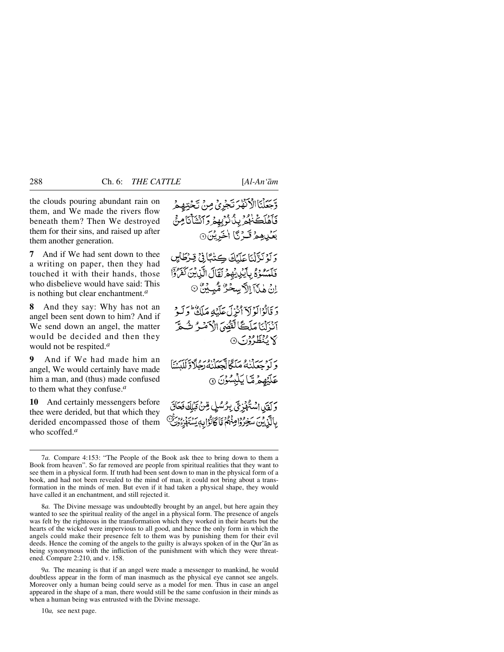the clouds pouring abundant rain on them, and We made the rivers flow beneath them? Then We destroyed them for their sins, and raised up after them another generation.

**7** And if We had sent down to thee a writing on paper, then they had touched it with their hands, those who disbelieve would have said: This is nothing but clear enchantment.*<sup>a</sup>*

**8** And they say: Why has not an angel been sent down to him? And if We send down an angel, the matter would be decided and then they would not be respited.*<sup>a</sup>*

**9** And if We had made him an angel, We would certainly have made him a man, and (thus) made confused to them what they confuse.*<sup>a</sup>*

**10** And certainly messengers before thee were derided, but that which they derided encompassed those of them who scoffed.*<sup>a</sup>*

وَجَعَلْنَا الْأَنْهَرَ تَجْرِيْ مِنْ تَجْتِهِمْ فَأَهْلَكَ مُهْرَبِينٌ نُوَبِهِهِ وَالشَّأْنَامِنُّي بَعْيِيْهِمْ قَسْرَتَنَا الْخَبْرِيْنَ۞

وَلَوْنَزَّلْنَا عَلَيْكَ كِتْبَائِيْ قِرْطَائِن فَلَمْسُوُهُ بِآيِنِ يُهِمْ لَقَالَ الَّذِينَ كَفَرَةٍ إِنْ هٰذَآ إِلاَّ سِحْرٌ مُّبِيْنٌ ۞

دَ قَانُوْالَوْ لَاَ أَنْزَلَ عَلَيْهِ مَلَكٌ وَلَيْهِ أنزلنا مَلَكًا لَفْقُدَى الْمَصْرُ تُسْتَرَ بكائي<del>نَظَارُدِ</del>رَ 6

وَ لَوْ جِعَلْنَٰهُ مَلَّكًا تَجْعَلْنَٰهُ رَجُلًا وَّ لَلْبَشَنَا عَلَيْهِمْ مَّا يَلْبِسُوْنَ @

وَلَقَدْ اِسْتُهْمْزِجَ بِيْرُسُلِ قِنْ مَمْلِكَ فَعَاقَ بِالَّذِينَ سَخِرُوْاصِنَّهُمْ مَاكَانُوْابِهِ يَسْتَهْزُوْوَيْ

9*a.* The meaning is that if an angel were made a messenger to mankind, he would doubtless appear in the form of man inasmuch as the physical eye cannot see angels. Moreover only a human being could serve as a model for men. Thus in case an angel appeared in the shape of a man, there would still be the same confusion in their minds as when a human being was entrusted with the Divine message.

10*a,* see next page.

<sup>7</sup>*a.* Compare 4:153: "The People of the Book ask thee to bring down to them a Book from heaven". So far removed are people from spiritual realities that they want to see them in a physical form. If truth had been sent down to man in the physical form of a book, and had not been revealed to the mind of man, it could not bring about a transformation in the minds of men. But even if it had taken a physical shape, they would have called it an enchantment, and still rejected it.

<sup>8</sup>*a.* The Divine message was undoubtedly brought by an angel, but here again they wanted to see the spiritual reality of the angel in a physical form. The presence of angels was felt by the righteous in the transformation which they worked in their hearts but the hearts of the wicked were impervious to all good, and hence the only form in which the angels could make their presence felt to them was by punishing them for their evil deeds. Hence the coming of the angels to the guilty is always spoken of in the Qur'ån as being synonymous with the infliction of the punishment with which they were threatened. Compare 2:210, and v. 158.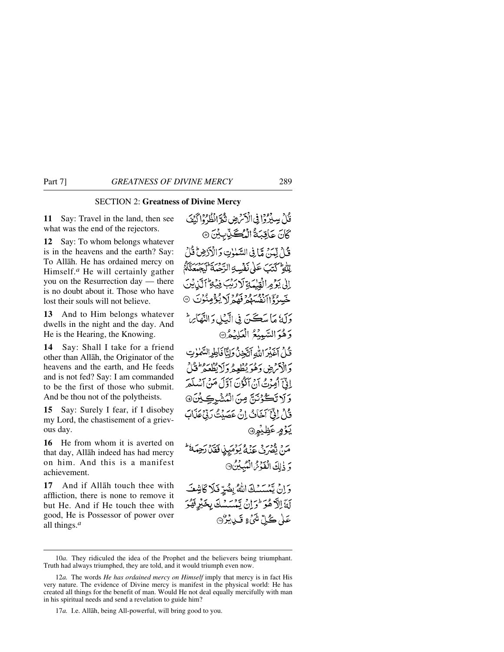# SECTION 2: **Greatness of Divine Mercy**

**11** Say: Travel in the land, then see what was the end of the rejectors.

**12** Say: To whom belongs whatever is in the heavens and the earth? Say: To Allåh. He has ordained mercy on Himself.*<sup>a</sup>* He will certainly gather you on the Resurrection day — there is no doubt about it. Those who have lost their souls will not believe.

**13** And to Him belongs whatever dwells in the night and the day. And He is the Hearing, the Knowing.

**14** Say: Shall I take for a friend other than Allåh, the Originator of the heavens and the earth, and He feeds and is not fed? Say: I am commanded to be the first of those who submit. And be thou not of the polytheists.

**15** Say: Surely I fear, if I disobey my Lord, the chastisement of a grievous day.

**16** He from whom it is averted on that day, Allåh indeed has had mercy on him. And this is a manifest achievement.

**17** And if Allåh touch thee with affliction, there is none to remove it but He. And if He touch thee with good, He is Possessor of power over all things.*<sup>a</sup>*

فَكِي بِسِيْرُوْا فِي الْأَمْرَضِ نَيْجَ انْظُرُوْا كَيْفَ كَانَ عَاقِبَةُ الْمُكَّذِّبِيِّنَ @ قُلْ لِّيَنَ مَّا فِي السَّيْرِتِ وَالْأَدَّضِ قُلْ لِللَّهِ كَتَبَ عَلَىٰ نَفْسِهِ الرَّدْيَ الْجَنْعَةُ لَيْجِيْعَنَّاهُ اِلَىٰ يَوۡمِ الۡقِيۡبَةِ لَارَبِّبَ فِيۡلِح ٱلۡآيَٰنِيۡنَ خَسِرْدَ انْفُسَرُهُ فَقِيهِ لَا يُؤْمِنُوْنَ وَآمَٰ مَا سَڪَنَ فِي الْکِيلِ وَ النَّهَاَ: وَهُوَالسَّمِيْعُ الْعَلِيْمُ® فَكِي أَخَذَرَ اللَّهِ أَنَّجْنُ وَلِنَّا فَأَطِرالسَّمٰوٰتِ دَالْأَمْرَضِ دَهُوَ يُطْعِيرُ وَلَا يُظْعَمْ قَبْلُ إِنَّيَّ أَمِينُتُ أَنْ أَكْذَنَ أَوَّلَ مَنْ أَسْر وَلَا تَكُوْنَنَّ مِنَ الْمُشْرِكِيْنَ، قَلْ إِذْ آَخَانُ إِنْ عَصَدْتُ رَبِّيءَ <u>يَوْمٍ</u> عَظِيْمٍ۞ مَنْ يَقْدَرُ بِمَدْلَمٍ يَوْمَيِنِي فَقَدْ رَحِيَكَ ۖ وَ ذٰلِكَ الْفَوْشِ الْمُبِيِّنِ ۞ وَإِنْ يَمْسَسْكَ اللَّهُ بِضُرِّ فَلَا كَاشِفَ لَةَ الْآُهُوَ \* وَ إِنْ تَمْسَسْكَ بِخَيْرِ فَهُوَ عَلَىٰ ڪُلِّ يَنْئَ ءِ قَبِيلِيْرُ۞

<sup>10</sup>*a.* They ridiculed the idea of the Prophet and the believers being triumphant. Truth had always triumphed, they are told, and it would triumph even now.

<sup>12</sup>*a.* The words *He has ordained mercy on Himself* imply that mercy is in fact His very nature. The evidence of Divine mercy is manifest in the physical world: He has created all things for the benefit of man. Would He not deal equally mercifully with man in his spiritual needs and send a revelation to guide him?

<sup>17</sup>*a.* I.e. Allåh, being All-powerful, will bring good to you.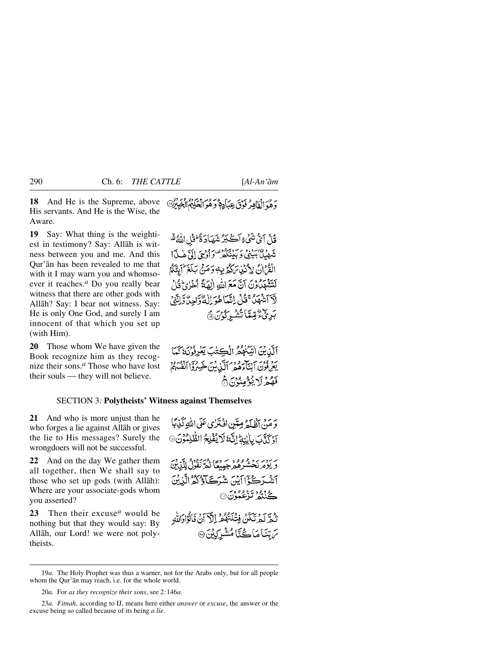**18** And He is the Supreme, above His servants. And He is the Wise, the Aware.

**19** Say: What thing is the weightiest in testimony? Say: Allåh is witness between you and me. And this Qur'ån has been revealed to me that with it I may warn you and whomsoever it reaches.*<sup>a</sup>* Do you really bear witness that there are other gods with Allåh? Say: I bear not witness. Say: He is only One God, and surely I am innocent of that which you set up (with Him).

**20** Those whom We have given the Book recognize him as they recognize their sons.*<sup>a</sup>* Those who have lost their souls — they will not believe.

5 هُوَ الْقَاهِرُ فَوَقَ عِبَادِهٖ وَهُوَ الْحَكِيمُ الْخَبِيرُ

قُالُ آيُّ شَيْءٍ أَڪَبَرُ شَهَادَ ةَ فَقُلِ اللَّهُ ثَيْرِ يَهِ بِهِ بِهِ بِهِ بِهِ بِهِ بِهِ مِعْرِ مِنْ الْمَرِيخِ إِلَيَّ هٰذَا الْقَرْانُ لِأَنْذِينَ كَثَيْرِيهِ وَمَنْ بَلَغَ ۖ أَبِيَّنَّهُمْ لَتَتَّذَّهَدَٰدُوۡنَ أَنَّ مَعَ اللَّهِ الْهَةَ ۚ أَخْرٰىٰٓ قُلْ ۖ لَآ أَشْهَلُ ۚ فَيْلَ إِنَّهَا هُوَ إِلٰهُ ۗ وَاحِلَّا وَّلِمَاتِي بَرِيُّءُ قِيمًا تُشْرِرُوْنَ۞

أَلَّذِيْنَ اتِّبَعُهُمُّ الْكِتُبَ يَعْرِفُوْنَهُ كَمَا بَعْرِ، فَوْرَ سَنَ مِنْ مِنْ مِنْ تَبِينِ خَسِرُوْا أَنْفُسِهُمْ فَهُمْ لَا يُؤْمِنُوْنَ نَّ

# SECTION 3: **Polytheists' Witness against Themselves**

**21** And who is more unjust than he who forges a lie against Allåh or gives the lie to His messages? Surely the wrongdoers will not be successful.

**22** And on the day We gather them all together, then We shall say to those who set up gods (with Allåh): Where are your associate-gods whom you asserted?

**23** Then their excuse*<sup>a</sup>* would be nothing but that they would say: By Allåh, our Lord! we were not polytheists.

دَ مَنْ أَظْلَةُ مِيَّنِ إِنْ تَزْيِ عَلَى اللَّهِ كَذِبًا آؤَكَنَّكَ بِأَيْتِهِ إِنَّكَ لَا يُفْلِحُ الظَّٰلِمُوْنَ۞ بريزد برد وود و حَديمًا نَهْرَ نَقُوْلُ لِلَّذِبْنَ آشْرَكَّوْٓااَيْنَ شُرَكَاوُكُمُّ الَّذِينَ گ<sup>32</sup>ر تزعمونَ ⊙ نْبُعَ لَمْ تَكُنُّ فِيَنْتَهُمْ إِلَيْ آنْ قَالُوْإِدَاللَّهِ سَ تِنَا مَاڪُنَّا مُشْرَكِيْنَ۞

<sup>19</sup>*a.* The Holy Prophet was thus a warner, not for the Arabs only, but for all people whom the Qur'ån may reach, i.e. for the whole world.

<sup>20</sup>*a.* For *as they recognize their sons*, see 2:146*a*.

<sup>23</sup>*a. Fitnah*, according to IJ, means here either *answer* or *excuse*, the answer or the excuse being so called because of its being *a lie*.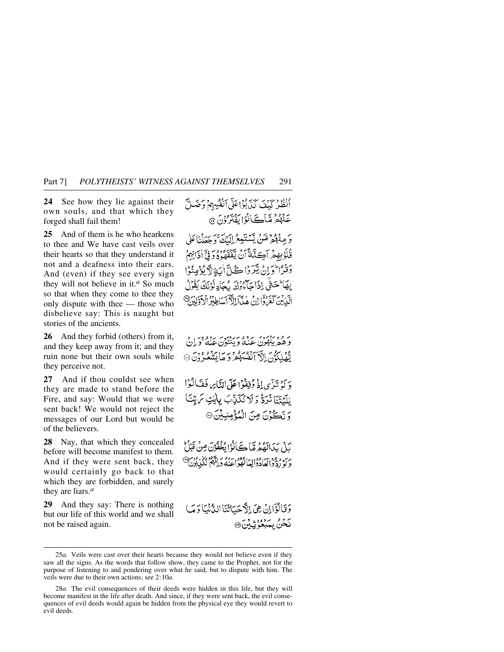**24** See how they lie against their own souls, and that which they forged shall fail them!

**25** And of them is he who hearkens to thee and We have cast veils over their hearts so that they understand it not and a deafness into their ears. And (even) if they see every sign they will not believe in it.*<sup>a</sup>* So much so that when they come to thee they only dispute with thee — those who disbelieve say: This is naught but stories of the ancients.

**26** And they forbid (others) from it, and they keep away from it; and they ruin none but their own souls while they perceive not.

**27** And if thou couldst see when they are made to stand before the Fire, and say: Would that we were sent back! We would not reject the messages of our Lord but would be of the believers.

**28** Nay, that which they concealed before will become manifest to them. And if they were sent back, they would certainly go back to that which they are forbidden, and surely they are liars.*<sup>a</sup>*

**29** And they say: There is nothing but our life of this world and we shall not be raised again.

أَنْظُرِ كَنْفَ كَذَبَدُ إِعَلَى أَنْفُسِهِمْ وَضَلَّ عَنْهُمْ مَّاڪَأَنُوْا بَفَنْزُوْنَ ۞

رَ مِنْهُمْ مِّنْ يَسْتَعِعُ إِلَيْكَ وَجَعَلْنَاعَلَى قُلُوۡبِهِمۡ ٱڪِنَّةً ٱنۡ يَّفۡقَهُوۡوُوۡ وَفِيۡٓ ٰ ذَائِهِمۡ دَنْدَا وَإِنْ يَتَرَدْا كُلِّ أَيَةِ لاَّ يُؤْمِنُوْا بِهَا حَتَّى إِذَا حَاءُوْكَ بِجَادِ لُوْنَكَ بَقُوْلُ الَّذِينَ كَعَرَاقِ إِنَّ هٰذَآ الدَّآسَاطِنُوۡ الۡدَوَّلِيۡ ۖ فِي

بر و دیږد بروه بریږد پرووی د<br>وهمربېلون عنه وینځون عنه وړان تَّهْلِكُوْنَ الْآَ أَنْفُسَهُمْ وَ مَا يَشْعُرُونَ ۞

وَ كَمْ تَيْرَى إِذْ وُقِفُوْا عَلَى التَّاسِ فَفَيَالُوْا بْلَيْتَنَا نُرَدٌّ وَلَا تُكَنِّبَ بِالْتِ مَ يِّنَا وَ نَكُوْنَ مِنَ الْمُؤْمِنِيِّنَ۞

يَاتِرِ بِيَدَابَهُمْ مَّا يَجَانُوْا بُخْفُوْنَ مِنْ قَبْلُ د کو دوم ایجادواییا فقو اعنهٔ دانلهٔ نگذیون

دَقَالُؤَاإِنْ هِيَ إِلاَّ حَيَاتُنَا اللَّانِيَا دَيَبَ نَحْنُ بِيَبْعُوُنِّ بِنَ ۞

<sup>25</sup>*a.* Veils were cast over their hearts because they would not believe even if they saw all the signs. As the words that follow show, they came to the Prophet, not for the purpose of listening to and pondering over what he said, but to dispute with him. The veils were due to their own actions; see 2:10*a*.

<sup>28</sup>*a.* The evil consequences of their deeds were hidden in this life, but they will become manifest in the life after death. And since, if they were sent back, the evil consequences of evil deeds would again be hidden from the physical eye they would revert to evil deeds.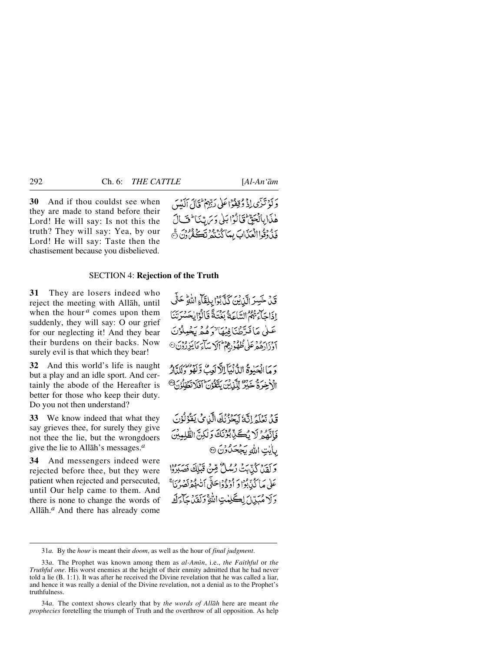**30** And if thou couldst see when they are made to stand before their Lord! He will say: Is not this the truth? They will say: Yea, by our Lord! He will say: Taste then the chastisement because you disbelieved.

دَ كَوْ تَزَى إِذْ وُقِفُوْا عَلَىٰ رَبِّهِمْ ثَالَ آلَيْيِي هٰذَابِانْحَقّْ قَالُوۡا بَلَىٰ وَيَرِيّنَا ۖ فَسَالَ بَدْ وَقُواالْعَنَابَ بِمَا كُنْتَهُ نَكْتُمُونَ جَ

#### SECTION 4: **Rejection of the Truth**

**31** They are losers indeed who reject the meeting with Allåh, until when the hour <sup>*a*</sup> comes upon them suddenly, they will say: O our grief for our neglecting it! And they bear their burdens on their backs. Now surely evil is that which they bear!

**32** And this world's life is naught but a play and an idle sport. And certainly the abode of the Hereafter is better for those who keep their duty. Do you not then understand?

**33** We know indeed that what they say grieves thee, for surely they give not thee the lie, but the wrongdoers give the lie to Allåh's messages.*<sup>a</sup>*

**34** And messengers indeed were rejected before thee, but they were patient when rejected and persecuted, until Our help came to them. And there is none to change the words of Allåh.*<sup>a</sup>* And there has already come

قَنْ خَسِرَ الَّذِينَ كَذَّبُوْا بِلِقَاءِ اللَّهِ حَتَّى إِذَاجَاتٍهُ مِمْ السَّاعَةُ بِغُنَةً فَالْوُايِجَسْرَتَنَا عَىلَى مَافَدَّطْنَافِيْهَا ٚ وَهُمْ يَجْمِلُوْ آدْ زَارَهُمْ عَلَى ظُهُّوْرِهِمْ أَإِكْرَ سَأَءَ مَا يَزِرُدُنَ<sup>0</sup>

دَ مَا انْجَبُوةُ الدُّنْيَآ الْأَلْعَبُ وَّلَوْدٌ وَلَلَّهِ لَهُ وَلَلَّهِ لَا الْأَخِيرَةُ خَيْرٌ لِلَّذِينَ يَتَّقَوُّنَ أَقَلَا تَقْقَدُنَ<sup>9</sup>

قِدْ، نَعْلَمْ إِنَّكَ لَمَحْزُنُكَ الَّذِي كَانَتْهُوْلُوْنَ فَأَنَّهُمْ لَا يُكَيِّبُونَكَ وَلَٰكِنَّ الطَّلِمِبْنَ بايت الله يَجْحَدُوْنَ ۞

وَلَقِينَ كُنَّبَتْ رُسُلٌ قِنْ قَبْلِكَ فَصَبَرُوْا عَلَىٰ مَا كُذَّبُوْا وَ اُوْ دُوْاحَتَّى أَنْبِهُمْ نَصْنَ وَلَا مُبَيِّلَ لِكَلِمْتِ اللَّهِ وَلَقَدْجَآءَكَ

<sup>31</sup>*a.* By the *hour* is meant their *doom*, as well as the hour of *final judgment*.

<sup>33</sup>*a.* The Prophet was known among them as *al-Amßn*, i.e., *the Faithful* or *the Truthful one*. His worst enemies at the height of their enmity admitted that he had never told a lie (B. 1:1). It was after he received the Divine revelation that he was called a liar, and hence it was really a denial of the Divine revelation, not a denial as to the Prophet's truthfulness.

<sup>34</sup>*a.* The context shows clearly that by *the words of Allåh* here are meant *the prophecies* foretelling the triumph of Truth and the overthrow of all opposition. As help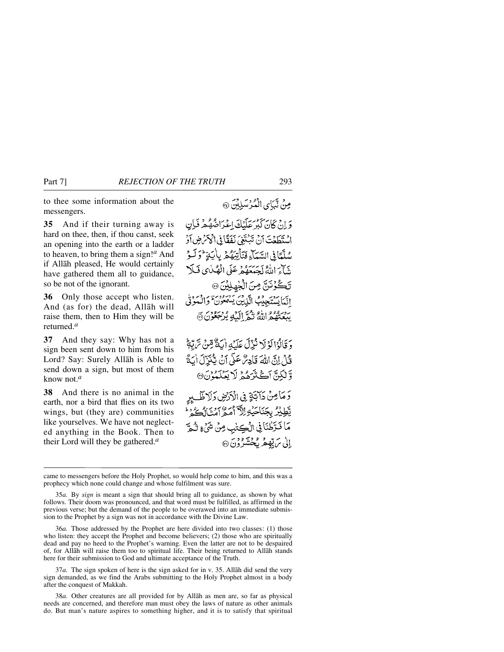to thee some information about the messengers.

**35** And if their turning away is hard on thee, then, if thou canst, seek an opening into the earth or a ladder to heaven, to bring them a sign!*<sup>a</sup>* And if Allåh pleased, He would certainly have gathered them all to guidance, so be not of the ignorant.

**36** Only those accept who listen. And (as for) the dead, Allåh will raise them, then to Him they will be returned.*<sup>a</sup>*

**37** And they say: Why has not a sign been sent down to him from his Lord? Say: Surely Allåh is Able to send down a sign, but most of them know not.*<sup>a</sup>*

**38** And there is no animal in the earth, nor a bird that flies on its two wings, but (they are) communities like yourselves. We have not neglected anything in the Book. Then to their Lord will they be gathered.*<sup>a</sup>*

وَإِنْ كَانَ كَبْرَ عَلَيْكَ إِعْرَاهِ مُؤْمِرٌ فَبَانٍ اسْتَطَعْتَ أَنْ تَبْتَغِيَ نَفَقًا فِي أَكْوَنَ هِنَ أَدْ سُلَّمَا فِي السَّيِّكَ فَتَأْتِيَهُمْ بِإِيَةٍ ۖ وَ لَبِهِ يَّنَآءَ اللَّهُ لَجَيِّعَهُمْ عَلَى الْهُبْايِ فَبِلا

مِنْ نْبَيَايِ الْمُؤْسَلِلِينَ ۞

تَكُوْنَنَّ مِنَ الْجُهِلِيْنَ @ اتَّمَايَسَتَجِيْبُ الَّذِيْنَ يَسْمَعُونَ ۚ وَالْمَوْنَىٰ بِبِعِنْهُمْ اللَّهُ نَيْمٌ إِلَيْهِ يُرْجَعُوْنَ نَ

وَقَالُوْالَوْلَا نُزِّلَ عَلَيْهِ إِيَاءٌ قِنْ تَرَبِّعُ قُدْلَ إِنَّ اللَّهَ قَادِئُ عَلَى أَنْ يَبْنَوْلَ أَبَدَّ وَّلْكِنَّ أَكْثَرَهُمْ لَا يَعْلَمُوْنَ®

وَمَامِنْ دَابَةٍ فِي الْأَرْضِ وَلَا ظَلِيرٍ يْطِيْرُ بِجَنَاجَيْهِ الدَّاْمَعُ آمِنَا أَكُرْ مَا فَتَرَطْنَانِي الْڪِتْبِ مِنْ شَيْءٍ نُكُمَّ إِلَى مَ بِبْهِمْ بِكِحْشَرُوْنَ ۞

36*a.* Those addressed by the Prophet are here divided into two classes: (1) those who listen: they accept the Prophet and become believers; (2) those who are spiritually dead and pay no heed to the Prophet's warning. Even the latter are not to be despaired of, for Allåh will raise them too to spiritual life. Their being returned to Allåh stands here for their submission to God and ultimate acceptance of the Truth.

37*a.* The sign spoken of here is the sign asked for in v. 35. Allåh did send the very sign demanded, as we find the Arabs submitting to the Holy Prophet almost in a body after the conquest of Makkah.

38*a.* Other creatures are all provided for by Allåh as men are, so far as physical needs are concerned, and therefore man must obey the laws of nature as other animals do. But man's nature aspires to something higher, and it is to satisfy that spiritual

came to messengers before the Holy Prophet, so would help come to him, and this was a prophecy which none could change and whose fulfilment was sure.

<sup>35</sup>*a.* By *sign* is meant a sign that should bring all to guidance, as shown by what follows. Their doom was pronounced, and that word must be fulfilled, as affirmed in the previous verse; but the demand of the people to be overawed into an immediate submission to the Prophet by a sign was not in accordance with the Divine Law.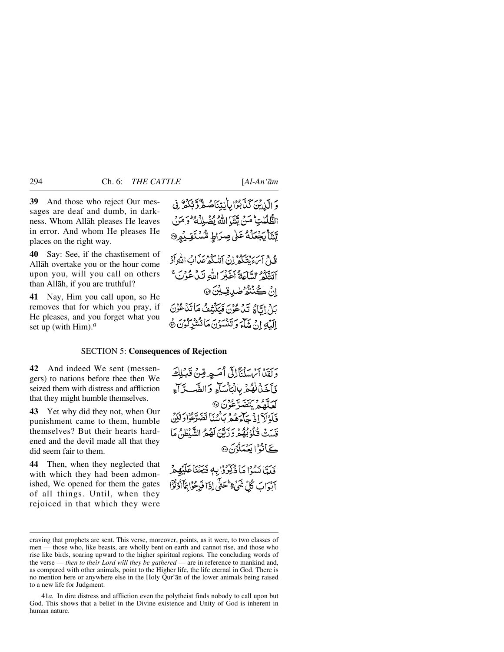**39** And those who reject Our messages are deaf and dumb, in darkness. Whom Allåh pleases He leaves in error. And whom He pleases He places on the right way.

**40** Say: See, if the chastisement of Allåh overtake you or the hour come upon you, will you call on others than Allåh, if you are truthful?

**41** Nay, Him you call upon, so He removes that for which you pray, if He pleases, and you forget what you set up (with Him).*<sup>a</sup>*

وَ الَّذِينَ كَذَّبُوْا بِالْتِنَاصُعُّ وِّ بِكُمْ ۚ فِي الظُّلُّلُن أَمَنْ يَتَنَا اللَّهُ يُضْلِلْهُ ۖ وَمَنْ يَّسَ بَجْعَلْهُ عَلَىٰ صِرَاطٍ مُّسْتَقِيْهِنَّ

قُبِينَ سَرِّ مِنْ مِنْ إِنِّي أَنْبَ كُوعَةَ إِنَّ اللَّهِ أَوْ آتَتَكُمُ السَّاعَةُ آخَيْرَ اللَّهِ تَدْعُوْنَ ۚ انْ ڪُنٽُمُرُ *طَينَ قِينَ ۞* بَارْ إِيَّالِمُ نَبْدُ عُوْنَ فَيَكَنَّفْفُ مَا تَدْ عُوُنَ البَّهِ إِنْ شَاءِ وَتَنْسُونَ مَأْتَشْرِكُونَ ﴾

#### SECTION 5: **Consequences of Rejection**

**42** And indeed We sent (messengers) to nations before thee then We seized them with distress and affliction that they might humble themselves.

**43** Yet why did they not, when Our punishment came to them, humble themselves? But their hearts hardened and the devil made all that they did seem fair to them.

**44** Then, when they neglected that with which they had been admonished, We opened for them the gates of all things. Until, when they rejoiced in that which they were

وَيَقِيْنَا آَيْنَ مَدَيْنَالِيَّ أَمَسِهِ قِينٌ قَبْلِكَ فَأَخَذْنَ نُهُمْ بِالْبَأْسَاءِ وَالضَّــدَّاءِ م و و ديكتر كون 9 فَلَدْلَآ إِذۡ حَآءَهُمۡ بِٱمۡمَاۤ تَضَرَّعُوۡا دَلَٰكِنَّ قِيِّبَتْ فَكَوْبِهُمْ وَرَبِّينَ لَهُمْ الشَّيْطِينَ مَا كَانُوُمْ يَعْمَلُونَ @ فَلَدًّا نَسُوْا مَا ذُكِّرُوْا بِهِ فَتَحْنَأُعَلَيْهِمْ آنوَابَ كُلِّ شَيْءٌ مِحَتَّى إِذَا فَدِحْوًا مَأَأْوُثَوْٓا

craving that prophets are sent. This verse, moreover, points, as it were, to two classes of men — those who, like beasts, are wholly bent on earth and cannot rise, and those who rise like birds, soaring upward to the higher spiritual regions. The concluding words of the verse — *then to their Lord will they be gathered* — are in reference to mankind and, as compared with other animals, point to the Higher life, the life eternal in God. There is no mention here or anywhere else in the Holy Qur'ån of the lower animals being raised to a new life for Judgment.

<sup>41</sup>*a.* In dire distress and affliction even the polytheist finds nobody to call upon but God. This shows that a belief in the Divine existence and Unity of God is inherent in human nature.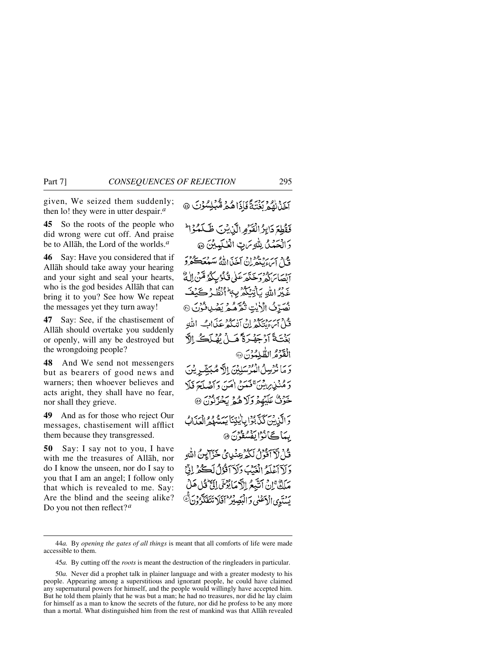given, We seized them suddenly; then lo! they were in utter despair.*<sup>a</sup>*

**45** So the roots of the people who did wrong were cut off. And praise be to Allåh, the Lord of the worlds.*<sup>a</sup>*

**46** Say: Have you considered that if Allåh should take away your hearing and your sight and seal your hearts, who is the god besides Allåh that can bring it to you? See how We repeat the messages yet they turn away!

**47** Say: See, if the chastisement of Allåh should overtake you suddenly or openly, will any be destroyed but the wrongdoing people?

**48** And We send not messengers but as bearers of good news and warners; then whoever believes and acts aright, they shall have no fear, nor shall they grieve.

**49** And as for those who reject Our messages, chastisement will afflict them because they transgressed.

**50** Say: I say not to you, I have with me the treasures of Allåh, nor do I know the unseen, nor do I say to you that I am an angel; I follow only that which is revealed to me. Say: Are the blind and the seeing alike? Do you not then reflect?*<sup>a</sup>*

آخَذْنَهُمْ بَغْتَةً فَإِذَاهُمْ مُّبْلِسُوْنَ @

فَقُطِعَ دَابِرُ الْفَوْمِ الَّذِيْنَ ظَلَمُوْا وَالْحَمْلُ لِلَّهِ مَرْبِّ الْعُلَيْدِيْنَ @ مع ديسره معزود من الله سعد ڪمرڙ<br>فيا پيءِ پنجران آخڏالله سعد ڪمرڙ انصَابِرَكُمْ وَخَذَهَرْ عَلَى قُلُوْبِ كَمُرْتَّقِنَّ بَهُ اللَّهِ يَأْتِيَكُمْ بِهِ ۚ أَنْظُرُ كَيۡ نُصَرِّفُ الْأَيْتِ تُقْرَّهُمْ يَصْدِقُونَ ۞ قبل اس مرد بعد دوس برد و به .<br>فبل اسء منتكهر إن امليكه عبدال - الله بَيْنَةُ أَدْخَوْجَةً مَبِينٌ مُهْلَڪٌ الْقَدْمُ الطُّلْمُهُنَّ ۞ وَ مَا نُرُسِلُ الْمُرْسَلِيْنَ إِلَّ صُبَيْتٌ بِيْنَ دَ مُنْذِرِ بِنَ يَحْمَنُ أَمَنَ دَاَصْلَحَ فَلَا خَزْنٌ عَلَيْهِمْ وَلَا هُمْ يَخْزِنُونَ ۞ بِيَاكَانُوْا يَفْسُقُونَ ۞ قُلْ لَأَ ٱقْوَلُ لَكُمْ عِنْدِينَ خَزَايِنُ اللَّهِ دَلْآآَعْلَةُ الْغَنْبَ دَلَآاَقُوۡلُ لَڪُمۡ إِنَّ مَلَكٌ ْإِنْ أَتَيْبِعُ الْأَمْبَابُوْسَي إِلَيٌّ قُلْ هَ يَسْنَوِي الْأَعْلَى وَالْبَصِيْرُ ۖ اَفْلَا تَتَفَكَّرْ

<sup>44</sup>*a.* By *opening the gates of all things* is meant that all comforts of life were made accessible to them.

<sup>45</sup>*a.* By cutting off the *roots* is meant the destruction of the ringleaders in particular.

<sup>50</sup>*a.* Never did a prophet talk in plainer language and with a greater modesty to his people. Appearing among a superstitious and ignorant people, he could have claimed any supernatural powers for himself, and the people would willingly have accepted him. But he told them plainly that he was but a man; he had no treasures, nor did he lay claim for himself as a man to know the secrets of the future, nor did he profess to be any more than a mortal. What distinguished him from the rest of mankind was that Allåh revealed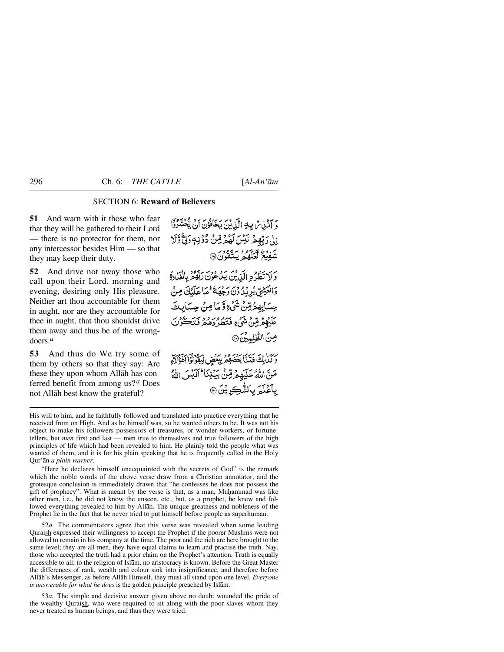### SECTION 6: **Reward of Believers**

**51** And warn with it those who fear that they will be gathered to their Lord — there is no protector for them, nor any intercessor besides Him — so that they may keep their duty.

**52** And drive not away those who call upon their Lord, morning and evening, desiring only His pleasure. Neither art thou accountable for them in aught, nor are they accountable for thee in aught, that thou shouldst drive them away and thus be of the wrongdoers.*<sup>a</sup>*

**53** And thus do We try some of them by others so that they say: Are these they upon whom Allåh has conferred benefit from among us?*<sup>a</sup>* Does not Allåh best know the grateful?

وَ آَنَيْنِ ثَرِيدٍ الَّذِينَ يَخَافُوْنَ أَنْ يُحْشَرُوْا إِنِّي دَبِّهِمْ لَكِيْنَ لَهُمْ مِّنْ دُوْنِهٖ وَلِيٌّ وَلَا شَفِيعُ لَعَلَّهُمْ يَتَّقُونَ@

وَلَا تَطَرُدِ الَّذِينَ بَنْ عُوْنَ رَبَّهُ وَ بِالْغَارِةِ وَالْعَيْنِيُّ يُرِيْدُوْنَ دَجْهَةً كُلَّا عَلَيْكَ مِنْ حِسَابِهِمْ قِنْ شَيْءٍ وَّ مَا مِنْ حِسَابِكَ عَلَيْهِمْ قِنْ شَيْءٍ فَتَطْرُدَهُمْ فَتَكْرُنَ صِنَ الظُّلِيِينَ @

وَكَذَٰلِكَ فَنَنَآ بَعۡصَهُمۡ بِبِعۡضٍ لِّيَقُوۡنُوۡٓا اَهۡوَٰٓلَآءِ مَنَّ اللَّهُ عَلَيْهِمْ قِنْ بِيَنِنَا ۖ أَلَيْسَ اللَّهُ بِأَعْلَمَ بِالشَّكِرِيْنَ۞

His will to him, and he faithfully followed and translated into practice everything that he received from on High. And as he himself was, so he wanted others to be. It was not his object to make his followers possessors of treasures, or wonder-workers, or fortunetellers, but *men* first and last — men true to themselves and true followers of the high principles of life which had been revealed to him. He plainly told the people what was wanted of them, and it is for his plain speaking that he is frequently called in the Holy Qur'ån *a plain warner*.

"Here he declares himself unacquainted with the secrets of God" is the remark which the noble words of the above verse draw from a Christian annotator, and the grotesque conclusion is immediately drawn that "he confesses he does not possess the gift of prophecy". What is meant by the verse is that, as a man, Muhammad was like other men, i.e., he did not know the unseen, etc., but, as a prophet, he knew and followed everything revealed to him by Allåh. The unique greatness and nobleness of the Prophet lie in the fact that he never tried to put himself before people as superhuman.

52*a.* The commentators agree that this verse was revealed when some leading Quraish expressed their willingness to accept the Prophet if the poorer Muslims were not allowed to remain in his company at the time. The poor and the rich are here brought to the same level; they are all men, they have equal claims to learn and practise the truth. Nay, those who accepted the truth had a prior claim on the Prophet's attention. Truth is equally accessible to all; to the religion of Islåm, no aristocracy is known. Before the Great Master the differences of rank, wealth and colour sink into insignificance, and therefore before Allåh's Messenger, as before Allåh Himself, they must all stand upon one level. *Everyone is answerable for what he does* is the golden principle preached by Islåm.

53*a.* The simple and decisive answer given above no doubt wounded the pride of the wealthy Quraish, who were required to sit along with the poor slaves whom they never treated as human beings, and thus they were tried.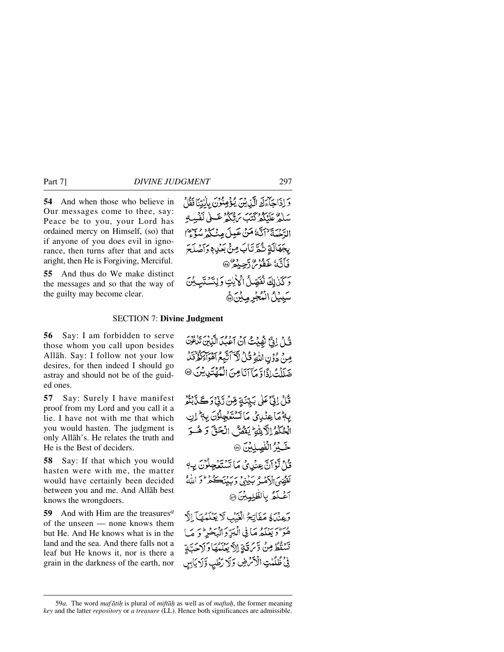**54** And when those who believe in Our messages come to thee, say: Peace be to you, your Lord has ordained mercy on Himself, (so) that if anyone of you does evil in ignorance, then turns after that and acts aright, then He is Forgiving, Merciful.

**55** And thus do We make distinct the messages and so that the way of the guilty may become clear.

وَ إِذَاجَاءَكَ الَّذِينَ يُؤْمِنُونَ بِالْبَنَانَقَالُ سَلَمْ عَلَيْكُمْ كَتَبَ يَ لَيْكُمْ عَسَلَى نَفْسِهِ الدَّجْيَةَ لِأَنَّهَ مَنْ عَبِيلَ مِنْكُمْ سُوِّءً ا بِجَهَالَةِ شُكِّرْتَابَ مِنْ بَعْدِهِ وَآَصُلَحَ فَأَتَّهُ غَفْوُمْ دَّجِيدُ ۞ وَكَنْ لِكَ نُفَصِّلُ الْأَيْتِ وَلِتَسْتَبِيبُنَ سَبِيُلُ الْمُجْرِمِيْنَ،

### SECTION 7: **Divine Judgment**

**56** Say: I am forbidden to serve those whom you call upon besides Allåh. Say: I follow not your low desires, for then indeed I should go astray and should not be of the guided ones.

**57** Say: Surely I have manifest proof from my Lord and you call it a lie. I have not with me that which you would hasten. The judgment is only Allåh's. He relates the truth and He is the Best of deciders.

**58** Say: If that which you would hasten were with me, the matter would have certainly been decided between you and me. And Allåh best knows the wrongdoers.

**59** And with Him are the treasures*<sup>a</sup>* of the unseen — none knows them but He. And He knows what is in the land and the sea. And there falls not a leaf but He knows it, nor is there a grain in the darkness of the earth, nor

قُلْ إِنِّ نُهُيْتُ أَنْ آعَٰبُ الَّذِيْنَ تَذْكُرُنَ مِنْ دُوِّنِ اللَّهِ تُمَلُّ لَكَ أَتَّبِعُ أَهْوَاءَكُمُّ تَنَّ ضَلَلْتُ إِذَا وَمَآ آنَا مِنَ الْمُهۡتَدِيشِ ۞

قُلْ إِنِّيٌّ عَلَى بَيِّنَةٍ مِّنْ رَبِّيْ وَكَيْ أَيُّهُ بِهِمَّ عِنْدِيْ مَاتَسْتَعْجِلُوْنَ بِهِمَّ اِن الْحُكْمُ الْآلِيَّةِ يَفْصٌّ الْحَقَّ وَ هُـوَ خَبِيرُ الْفَصِلِينَ ۞ قَارُ لَّوْ أَنَّ عِنْدِيْ مَا تَسْتَغْجِلُوْنَ بِ4 لَقَفِيمَ الْأَصْدُ بَكِيْنِي وَبَدِيْنِكُمْ \* وَ اللَّهُ آغَكْثُرُ بِالظَّلِيِيْنَ ۞

وَعِنْدَهُ مَفَاتِحُ الْغَيْبِ لَا يَعْلَمُهَا الَّ هُوَ لَوَيَعۡلَمُ مَا فِي الۡبَدِّ وَالۡبَحۡدِ ۚ وَ مَا تَسْقُطُ مِنْ وَّرَتَةٍ إِلاَّ يَعْلَمُهَا وَلَاحَبَّةٍ فِي ظُلُمْتِ الْأَمْرَضِ وَلَا رَطْبِ وَلَا يَابِسِ

<sup>59</sup>*a.* The word *maf åti√* is plural of *miftå√* as well as of *mafta√*, the former meaning *key* and the latter *repository* or *a treasure* (LL). Hence both significances are admissible.